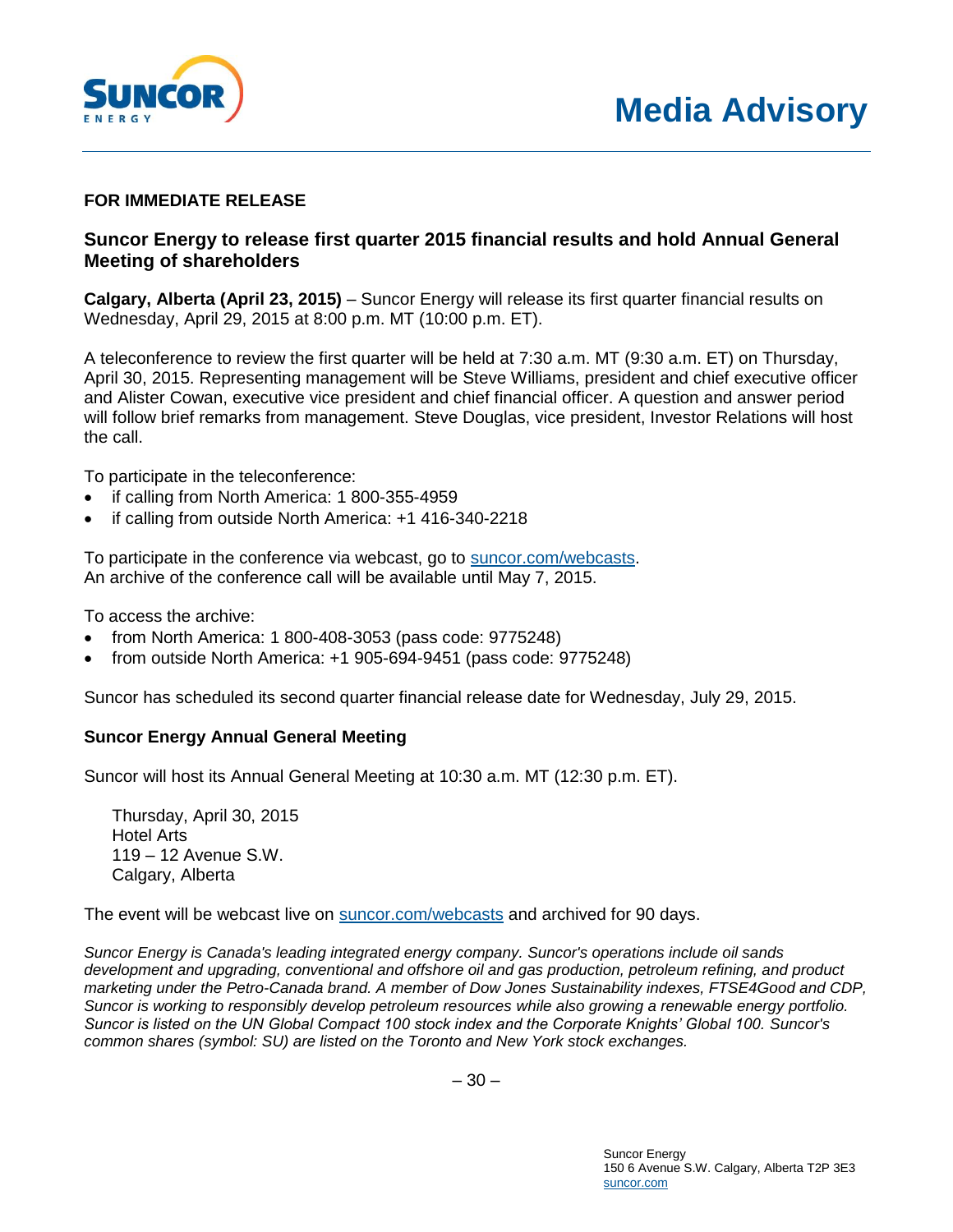

## **FOR IMMEDIATE RELEASE**

## **Suncor Energy to release first quarter 2015 financial results and hold Annual General Meeting of shareholders**

**Calgary, Alberta (April 23, 2015)** – Suncor Energy will release its first quarter financial results on Wednesday, April 29, 2015 at 8:00 p.m. MT (10:00 p.m. ET).

A teleconference to review the first quarter will be held at 7:30 a.m. MT (9:30 a.m. ET) on Thursday, April 30, 2015. Representing management will be Steve Williams, president and chief executive officer and Alister Cowan, executive vice president and chief financial officer. A question and answer period will follow brief remarks from management. Steve Douglas, vice president, Investor Relations will host the call.

To participate in the teleconference:

- if calling from North America: 1 800-355-4959
- if calling from outside North America: +1 416-340-2218

To participate in the conference via webcast, go to [suncor.com/webcasts.](http://www.suncor.com/webcasts) An archive of the conference call will be available until May 7, 2015.

To access the archive:

- from North America: 1 800-408-3053 (pass code: 9775248)
- from outside North America: +1 905-694-9451 (pass code: 9775248)

Suncor has scheduled its second quarter financial release date for Wednesday, July 29, 2015.

## **Suncor Energy Annual General Meeting**

Suncor will host its Annual General Meeting at 10:30 a.m. MT (12:30 p.m. ET).

Thursday, April 30, 2015 Hotel Arts 119 – 12 Avenue S.W. Calgary, Alberta

The event will be webcast live on [suncor.com/webcasts](http://www.suncor.com/webcasts) and archived for 90 days.

*Suncor Energy is Canada's leading integrated energy company. Suncor's operations include oil sands development and upgrading, conventional and offshore oil and gas production, petroleum refining, and product marketing under the Petro-Canada brand. A member of Dow Jones Sustainability indexes, FTSE4Good and CDP, Suncor is working to responsibly develop petroleum resources while also growing a renewable energy portfolio. Suncor is listed on the UN Global Compact 100 stock index and the Corporate Knights' Global 100. Suncor's common shares (symbol: SU) are listed on the Toronto and New York stock exchanges.*